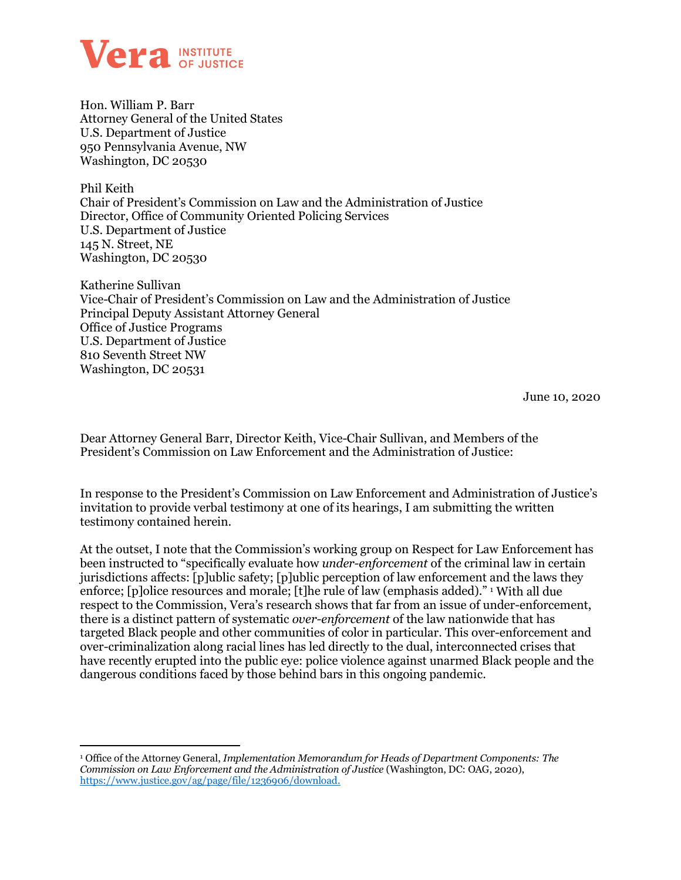

Hon. William P. Barr Attorney General of the United States U.S. Department of Justice 950 Pennsylvania Avenue, NW Washington, DC 20530

Phil Keith Chair of President's Commission on Law and the Administration of Justice Director, Office of Community Oriented Policing Services U.S. Department of Justice 145 N. Street, NE Washington, DC 20530

Katherine Sullivan Vice-Chair of President's Commission on Law and the Administration of Justice Principal Deputy Assistant Attorney General Office of Justice Programs U.S. Department of Justice 810 Seventh Street NW Washington, DC 20531

June 10, 2020

Dear Attorney General Barr, Director Keith, Vice-Chair Sullivan, and Members of the President's Commission on Law Enforcement and the Administration of Justice:

In response to the President's Commission on Law Enforcement and Administration of Justice's invitation to provide verbal testimony at one of its hearings, I am submitting the written testimony contained herein.

At the outset, I note that the Commission's working group on Respect for Law Enforcement has been instructed to "specifically evaluate how *under-enforcement* of the criminal law in certain jurisdictions affects: [p]ublic safety; [p]ublic perception of law enforcement and the laws they enforce; [p]olice resources and morale; [t]he rule of law (emphasis added)." <sup>[1](#page-0-0)</sup> With all due respect to the Commission, Vera's research shows that far from an issue of under-enforcement, there is a distinct pattern of systematic *over-enforcement* of the law nationwide that has targeted Black people and other communities of color in particular. This over-enforcement and over-criminalization along racial lines has led directly to the dual, interconnected crises that have recently erupted into the public eye: police violence against unarmed Black people and the dangerous conditions faced by those behind bars in this ongoing pandemic.

<span id="page-0-0"></span><sup>1</sup> Office of the Attorney General, *Implementation Memorandum for Heads of Department Components: The Commission on Law Enforcement and the Administration of Justice* (Washington, DC: OAG, 2020), [https://www.justice.gov/ag/page/file/1236906/download.](https://www.justice.gov/ag/page/file/1236906/download)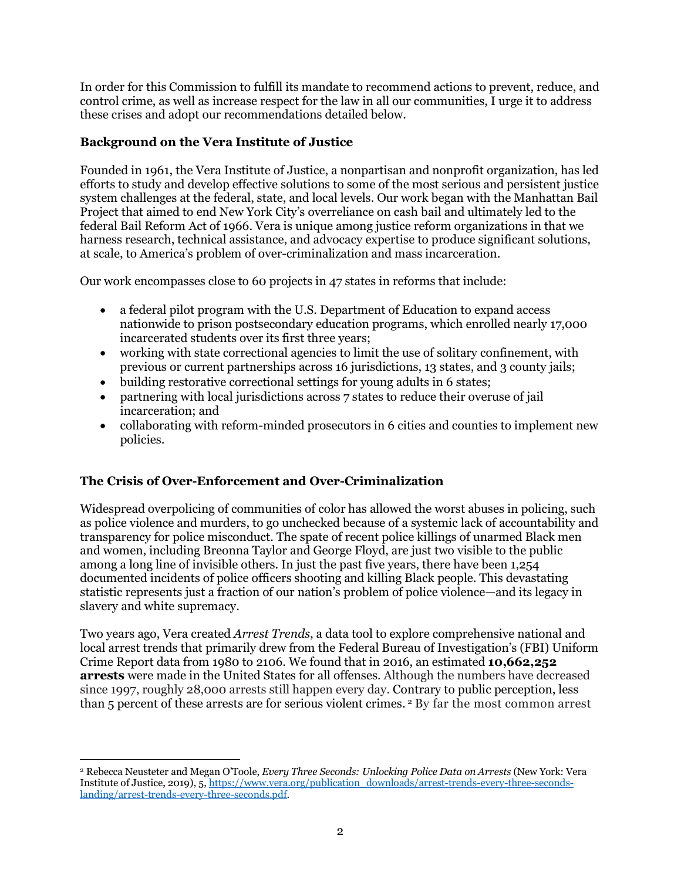In order for this Commission to fulfill its mandate to recommend actions to prevent, reduce, and control crime, as well as increase respect for the law in all our communities, I urge it to address these crises and adopt our recommendations detailed below.

## **Background on the Vera Institute of Justice**

Founded in 1961, the Vera Institute of Justice, a nonpartisan and nonprofit organization, has led efforts to study and develop effective solutions to some of the most serious and persistent justice system challenges at the federal, state, and local levels. Our work began with the Manhattan Bail Project that aimed to end New York City's overreliance on cash bail and ultimately led to the federal Bail Reform Act of 1966. Vera is unique among justice reform organizations in that we harness research, technical assistance, and advocacy expertise to produce significant solutions, at scale, to America's problem of over-criminalization and mass incarceration.

Our work encompasses close to 60 projects in 47 states in reforms that include:

- a federal pilot program with the U.S. Department of Education to expand access nationwide to prison postsecondary education programs, which enrolled nearly 17,000 incarcerated students over its first three years;
- working with state correctional agencies to limit the use of solitary confinement, with previous or current partnerships across 16 jurisdictions, 13 states, and 3 county jails;
- building restorative correctional settings for young adults in 6 states;
- partnering with local jurisdictions across 7 states to reduce their overuse of jail incarceration; and
- collaborating with reform-minded prosecutors in 6 cities and counties to implement new policies.

## **The Crisis of Over-Enforcement and Over-Criminalization**

Widespread overpolicing of communities of color has allowed the worst abuses in policing, such as police violence and murders, to go unchecked because of a systemic lack of accountability and transparency for police misconduct. The spate of recent police killings of unarmed Black men and women, including Breonna Taylor and George Floyd, are just two visible to the public among a long line of invisible others. In just the past five years, there have been 1,254 documented incidents of police officers shooting and killing Black people. This devastating statistic represents just a fraction of our nation's problem of police violence—and its legacy in slavery and white supremacy.

Two years ago, Vera created *Arrest Trends*, a data tool to explore comprehensive national and local arrest trends that primarily drew from the Federal Bureau of Investigation's (FBI) Uniform Crime Report data from 1980 to 2106. We found that in 2016, an estimated **10,662,252 arrests** were made in the United States for all offenses*.* Although the numbers have decreased since 1997, roughly 28,000 arrests still happen every day. Contrary to public perception, less than 5 percent of these arrests are for serious violent crimes. [2](#page-1-0) By far the most common arrest

<span id="page-1-0"></span><sup>2</sup> Rebecca Neusteter and Megan O'Toole, *Every Three Seconds: Unlocking Police Data on Arrests* (New York: Vera Institute of Justice, 2019), 5[, https://www.vera.org/publication\\_downloads/arrest-trends-every-three-seconds](https://www.vera.org/publication_downloads/arrest-trends-every-three-seconds-landing/arrest-trends-every-three-seconds.pdf)[landing/arrest-trends-every-three-seconds.pdf.](https://www.vera.org/publication_downloads/arrest-trends-every-three-seconds-landing/arrest-trends-every-three-seconds.pdf)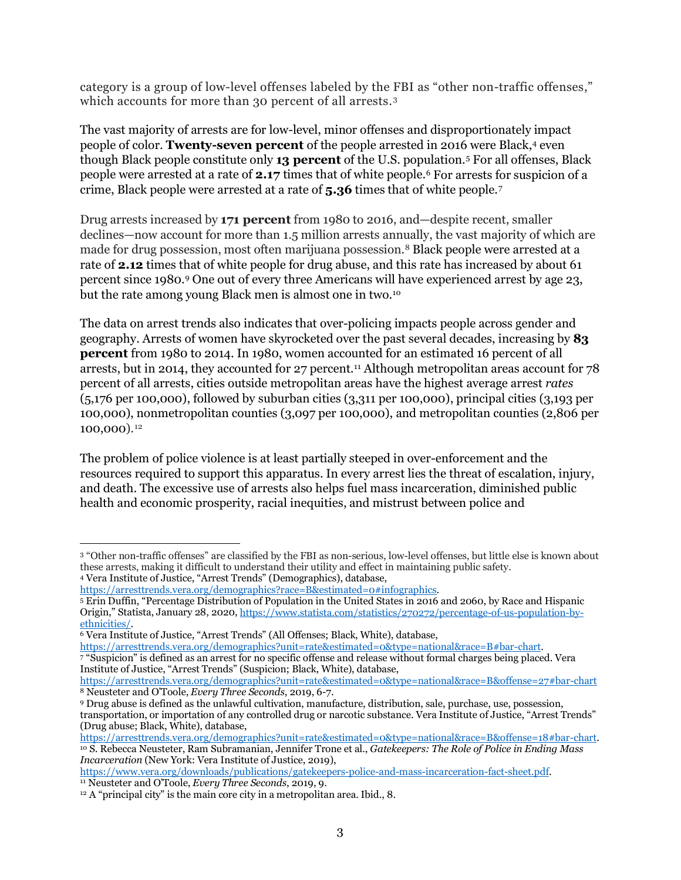category is a group of low-level offenses labeled by the FBI as "other non-traffic offenses," which accounts for more than [3](#page-2-0)0 percent of all arrests.<sup>3</sup>

The vast majority of arrests are for low-level, minor offenses and disproportionately impact people of color. **Twenty-seven percent** of the people arrested in 2016 were Black,[4](#page-2-1) even though Black people constitute only **13 percent** of the U.S. population.[5](#page-2-2) For all offenses, Black people were arrested at a rate of **2.17** times that of white people.[6](#page-2-3) For arrests for suspicion of a crime, Black people were arrested at a rate of **5.36** times that of white people.[7](#page-2-4)

Drug arrests increased by **171 percent** from 1980 to 2016, and—despite recent, smaller declines—now account for more than 1.5 million arrests annually, the vast majority of which are made for drug possession, most often marijuana possession.[8](#page-2-5) Black people were arrested at a rate of **2.12** times that of white people for drug abuse, and this rate has increased by about 61 percent since 1980.[9](#page-2-6) One out of every three Americans will have experienced arrest by age 23, but the rate among young Black men is almost one in two.[10](#page-2-7)

The data on arrest trends also indicates that over-policing impacts people across gender and geography. Arrests of women have skyrocketed over the past several decades, increasing by **83 percent** from 1980 to 2014. In 1980, women accounted for an estimated 16 percent of all arrests, but in 2014, they accounted for 27 percent.<sup>11</sup> Although metropolitan areas account for 78 percent of all arrests, cities outside metropolitan areas have the highest average arrest *rates* (5,176 per 100,000), followed by suburban cities (3,311 per 100,000), principal cities (3,193 per 100,000), nonmetropolitan counties (3,097 per 100,000), and metropolitan counties (2,806 per 100,000).[12](#page-2-9)

The problem of police violence is at least partially steeped in over-enforcement and the resources required to support this apparatus. In every arrest lies the threat of escalation, injury, and death. The excessive use of arrests also helps fuel mass incarceration, diminished public health and economic prosperity, racial inequities, and mistrust between police and

<span id="page-2-3"></span>[ethnicities/.](https://www.statista.com/statistics/270272/percentage-of-us-population-by-ethnicities/)<br><sup>6</sup> Vera Institute of Justice, "Arrest Trends" (All Offenses; Black, White), database,<br><u>https://arresttrends.vera.org/demographics?unit=rate&estimated=0&type=national&race=B#bar-chart</u>. <sup>7</sup> "Suspicion" is defined as an arrest for no specific offense and release without formal charges being placed. Vera

<span id="page-2-4"></span>Institute of Justice, "Arrest Trends" (Suspicion; Black, White), database, <https://arresttrends.vera.org/demographics?unit=rate&estimated=0&type=national&race=B&offense=27#bar-chart> <sup>8</sup> Neusteter and O'Toole, *Every Three Seconds*, 2019, 6-7.

<span id="page-2-7"></span><sup>10</sup> S. Rebecca Neusteter, Ram Subramanian, Jennifer Trone et al., Gatekeepers: The Role of Police in Ending Mass *Incarceration* (New York: Vera Institute of Justice, 2019),

[https://www.vera.org/downloads/publications/gatekeepers-police-and-mass-incarceration-fact-sheet.pdf.](https://www.vera.org/downloads/publications/gatekeepers-police-and-mass-incarceration-fact-sheet.pdf) <sup>11</sup> Neusteter and O'Toole, *Every Three Seconds*, 2019, 9.

<span id="page-2-0"></span><sup>3</sup> "Other non-traffic offenses" are classified by the FBI as non-serious, low-level offenses, but little else is known about these arrests, making it difficult to understand their utility and effect in maintaining public safety.

<span id="page-2-1"></span><sup>4</sup> Vera Institute of Justice, "Arrest Trends" (Demographics), database,

<span id="page-2-2"></span><sup>&</sup>lt;sup>5</sup> Erin Duffin, "Percentage Distribution of Population in the United States in 2016 and 2060, by Race and Hispanic Origin," Statista, January 28, 2020[, https://www.statista.com/statistics/270272/percentage-of-us-population-by-](https://www.statista.com/statistics/270272/percentage-of-us-population-by-ethnicities/)

<span id="page-2-6"></span><span id="page-2-5"></span><sup>9</sup> Drug abuse is defined as the unlawful cultivation, manufacture, distribution, sale, purchase, use, possession, transportation, or importation of any controlled drug or narcotic substance. Vera Institute of Justice, "Arrest Trends" (Drug abuse; Black, White), database,<br>https://arresttrends.vera.org/demographics?unit=rate&estimated=0&type=national&race=B&offense=18#bar-chart.

<span id="page-2-9"></span><span id="page-2-8"></span><sup>&</sup>lt;sup>12</sup> A "principal city" is the main core city in a metropolitan area. Ibid., 8.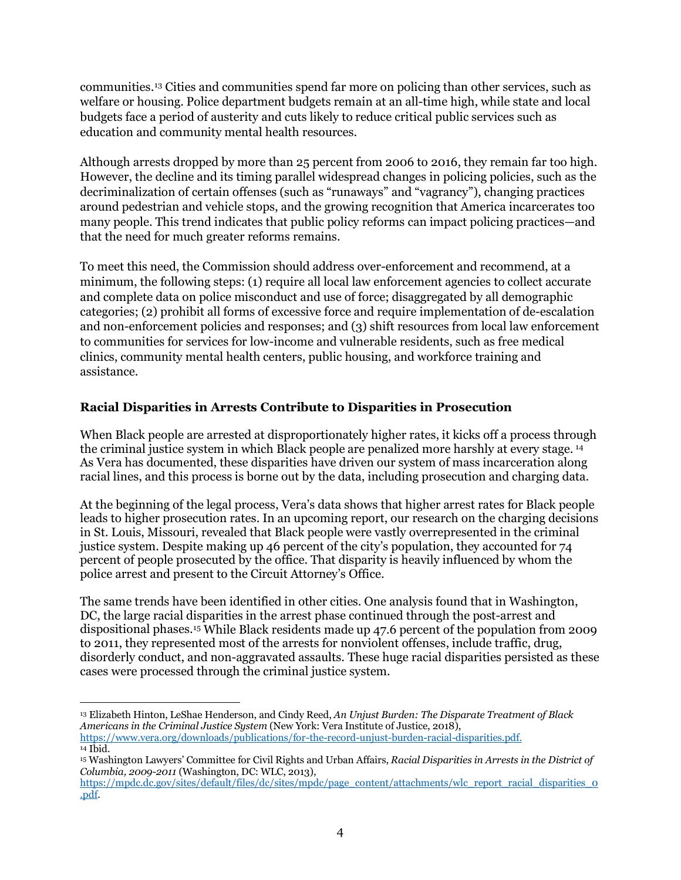communities.[13](#page-3-0) Cities and communities spend far more on policing than other services, such as welfare or housing. Police department budgets remain at an all-time high, while state and local budgets face a period of austerity and cuts likely to reduce critical public services such as education and community mental health resources.

Although arrests dropped by more than 25 percent from 2006 to 2016, they remain far too high. However, the decline and its timing parallel widespread changes in policing policies, such as the decriminalization of certain offenses (such as "runaways" and "vagrancy"), changing practices around pedestrian and vehicle stops, and the growing recognition that America incarcerates too many people. This trend indicates that public policy reforms can impact policing practices—and that the need for much greater reforms remains.

To meet this need, the Commission should address over-enforcement and recommend, at a minimum, the following steps: (1) require all local law enforcement agencies to collect accurate and complete data on police misconduct and use of force; disaggregated by all demographic categories; (2) prohibit all forms of excessive force and require implementation of de-escalation and non-enforcement policies and responses; and (3) shift resources from local law enforcement to communities for services for low-income and vulnerable residents, such as free medical clinics, community mental health centers, public housing, and workforce training and assistance.

## **Racial Disparities in Arrests Contribute to Disparities in Prosecution**

When Black people are arrested at disproportionately higher rates, it kicks off a process through the criminal justice system in which Black people are penalized more harshly at every stage. [14](#page-3-1)  As Vera has documented, these disparities have driven our system of mass incarceration along racial lines, and this process is borne out by the data, including prosecution and charging data.

At the beginning of the legal process, Vera's data shows that higher arrest rates for Black people leads to higher prosecution rates. In an upcoming report, our research on the charging decisions in St. Louis, Missouri, revealed that Black people were vastly overrepresented in the criminal justice system. Despite making up 46 percent of the city's population, they accounted for 74 percent of people prosecuted by the office. That disparity is heavily influenced by whom the police arrest and present to the Circuit Attorney's Office.

The same trends have been identified in other cities. One analysis found that in Washington, DC, the large racial disparities in the arrest phase continued through the post-arrest and dispositional phases.[15](#page-3-2) While Black residents made up 47.6 percent of the population from 2009 to 2011, they represented most of the arrests for nonviolent offenses, include traffic, drug, disorderly conduct, and non-aggravated assaults. These huge racial disparities persisted as these cases were processed through the criminal justice system.

<span id="page-3-0"></span><sup>13</sup> Elizabeth Hinton, LeShae Henderson, and Cindy Reed, *An Unjust Burden: The Disparate Treatment of Black Americans in the Criminal Justice System* (New York: Vera Institute of Justice, 2018), [https://www.vera.org/downloads/publications/for-the-record-unjust-burden-racial-disparities.pdf.](https://www.vera.org/downloads/publications/for-the-record-unjust-burden-racial-disparities.pdf)

<span id="page-3-1"></span><sup>14</sup> Ibid.

<span id="page-3-2"></span><sup>15</sup> Washington Lawyers' Committee for Civil Rights and Urban Affairs, *Racial Disparities in Arrests in the District of Columbia, 2009-2011* (Washington, DC: WLC, 2013),

[https://mpdc.dc.gov/sites/default/files/dc/sites/mpdc/page\\_content/attachments/wlc\\_report\\_racial\\_disparities\\_0](https://mpdc.dc.gov/sites/default/files/dc/sites/mpdc/page_content/attachments/wlc_report_racial_disparities_0.pdf) [.pdf.](https://mpdc.dc.gov/sites/default/files/dc/sites/mpdc/page_content/attachments/wlc_report_racial_disparities_0.pdf)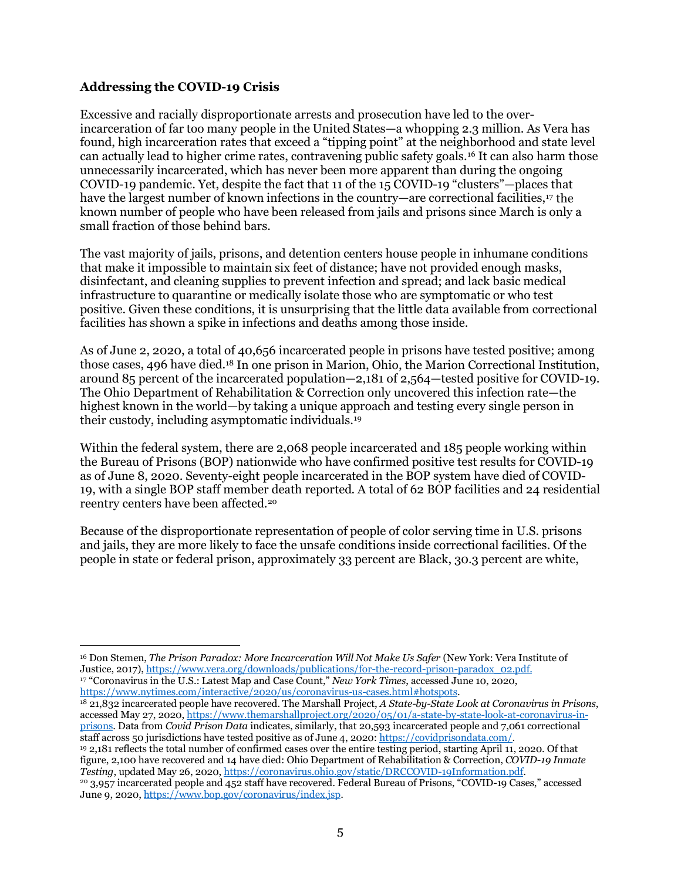## **Addressing the COVID-19 Crisis**

Excessive and racially disproportionate arrests and prosecution have led to the overincarceration of far too many people in the United States—a whopping 2.3 million. As Vera has found, high incarceration rates that exceed a "tipping point" at the neighborhood and state level can actually lead to higher crime rates, contravening public safety goals[.16](#page-4-0) It can also harm those unnecessarily incarcerated, which has never been more apparent than during the ongoing COVID-19 pandemic. Yet, despite the fact that 11 of the 15 COVID-19 "clusters"—places that have the largest number of known infections in the country—are correctional facilities, [17](#page-4-1) the known number of people who have been released from jails and prisons since March is only a small fraction of those behind bars.

The vast majority of jails, prisons, and detention centers house people in inhumane conditions that make it impossible to maintain six feet of distance; have not provided enough masks, disinfectant, and cleaning supplies to prevent infection and spread; and lack basic medical infrastructure to quarantine or medically isolate those who are symptomatic or who test positive. Given these conditions, it is unsurprising that the little data available from correctional facilities has shown a spike in infections and deaths among those inside.

As of June 2, 2020, a total of 40,656 incarcerated people in prisons have tested positive; among those cases, 496 have died.[18](#page-4-2) In one prison in Marion, Ohio, the Marion Correctional Institution, around 85 percent of the incarcerated population—2,181 of 2,564—tested positive for COVID-19. The Ohio Department of Rehabilitation & Correction only uncovered this infection rate—the highest known in the world—by taking a unique approach and testing every single person in their custody, including asymptomatic individuals.[19](#page-4-3)

Within the federal system, there are 2,068 people incarcerated and 185 people working within the Bureau of Prisons (BOP) nationwide who have confirmed positive test results for COVID-19 as of June 8, 2020. Seventy-eight people incarcerated in the BOP system have died of COVID-19, with a single BOP staff member death reported. A total of 62 BOP facilities and 24 residential reentry centers have been affected.[20](#page-4-4)

Because of the disproportionate representation of people of color serving time in U.S. prisons and jails, they are more likely to face the unsafe conditions inside correctional facilities. Of the people in state or federal prison, approximately 33 percent are Black, 30.3 percent are white,

<span id="page-4-4"></span><span id="page-4-3"></span><span id="page-4-2"></span><span id="page-4-1"></span><sup>18</sup> 21,832 incarcerated people have recovered. The Marshall Project, *A State-by-State Look at Coronavirus in Prisons*, accessed May 27, 2020, [https://www.themarshallproject.org/2020/05/01/a-state-by-state-look-at-coronavirus-in](https://www.themarshallproject.org/2020/05/01/a-state-by-state-look-at-coronavirus-in-prisons)[prisons.](https://www.themarshallproject.org/2020/05/01/a-state-by-state-look-at-coronavirus-in-prisons) Data from *Covid Prison Data* indicates, similarly, that 20,593 incarcerated people and 7,061 correctional staff across 50 jurisdictions have tested positive as of June 4, 2020[: https://covidprisondata.com/.](https://covidprisondata.com/) <sup>19</sup> 2,181 reflects the total number of confirmed cases over the entire testing period, starting April 11, 2020. Of that figure, 2,100 have recovered and 14 have died: Ohio Department of Rehabilitation & Correction, *COVID-19 Inmate Testing*, updated May 26, 2020[, https://coronavirus.ohio.gov/static/DRCCOVID-19Information.pdf.](https://coronavirus.ohio.gov/static/DRCCOVID-19Information.pdf) <sup>20</sup> 3,957 incarcerated people and 452 staff have recovered. Federal Bureau of Prisons, "COVID-19 Cases," accessed June 9, 2020[, https://www.bop.gov/coronavirus/index.jsp.](https://www.bop.gov/coronavirus/index.jsp)

<span id="page-4-0"></span><sup>16</sup> Don Stemen, *The Prison Paradox: More Incarceration Will Not Make Us Safer* (New York: Vera Institute of Justice, 2017)[, https://www.vera.org/downloads/publications/for-the-record-prison-paradox\\_02.pdf.](https://www.vera.org/downloads/publications/for-the-record-prison-paradox_02.pdf) <sup>17</sup> "Coronavirus in the U.S.: Latest Map and Case Count," *New York Times*, accessed June 10, 2020, https://www.nytimes.com/interactive/2020/us/coronavirus-us-cases.html#hotspots.